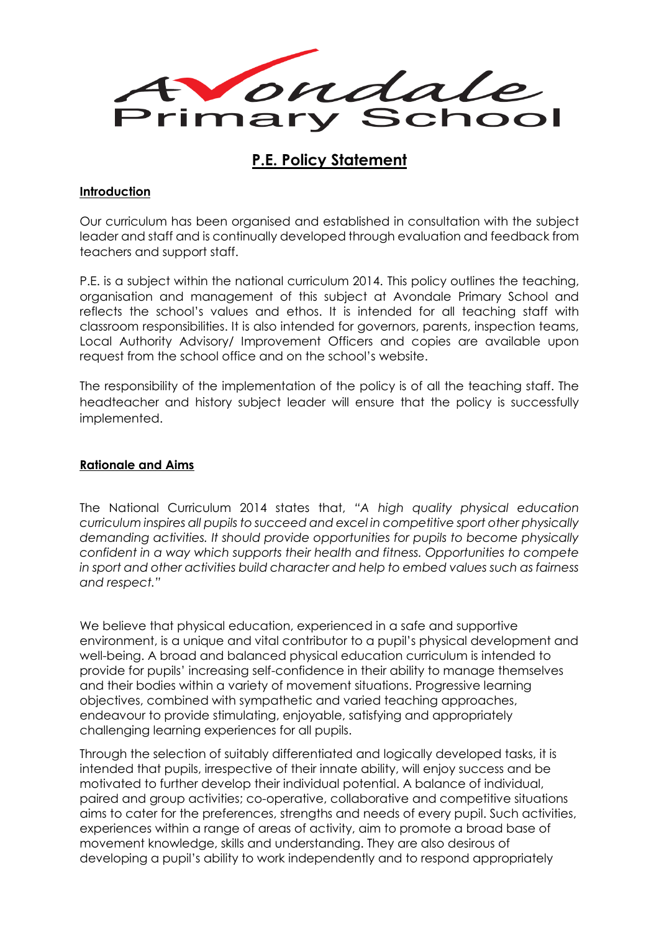

# **P.E. Policy Statement**

#### **Introduction**

Our curriculum has been organised and established in consultation with the subject leader and staff and is continually developed through evaluation and feedback from teachers and support staff.

P.E. is a subject within the national curriculum 2014. This policy outlines the teaching, organisation and management of this subject at Avondale Primary School and reflects the school's values and ethos. It is intended for all teaching staff with classroom responsibilities. It is also intended for governors, parents, inspection teams, Local Authority Advisory/ Improvement Officers and copies are available upon request from the school office and on the school's website.

The responsibility of the implementation of the policy is of all the teaching staff. The headteacher and history subject leader will ensure that the policy is successfully implemented.

#### **Rationale and Aims**

The National Curriculum 2014 states that, *"A high quality physical education curriculum inspires all pupils to succeed and excel in competitive sport other physically demanding activities. It should provide opportunities for pupils to become physically confident in a way which supports their health and fitness. Opportunities to compete in sport and other activities build character and help to embed values such as fairness and respect."*

We believe that physical education, experienced in a safe and supportive environment, is a unique and vital contributor to a pupil's physical development and well-being. A broad and balanced physical education curriculum is intended to provide for pupils' increasing self-confidence in their ability to manage themselves and their bodies within a variety of movement situations. Progressive learning objectives, combined with sympathetic and varied teaching approaches, endeavour to provide stimulating, enjoyable, satisfying and appropriately challenging learning experiences for all pupils.

Through the selection of suitably differentiated and logically developed tasks, it is intended that pupils, irrespective of their innate ability, will enjoy success and be motivated to further develop their individual potential. A balance of individual, paired and group activities; co-operative, collaborative and competitive situations aims to cater for the preferences, strengths and needs of every pupil. Such activities, experiences within a range of areas of activity, aim to promote a broad base of movement knowledge, skills and understanding. They are also desirous of developing a pupil's ability to work independently and to respond appropriately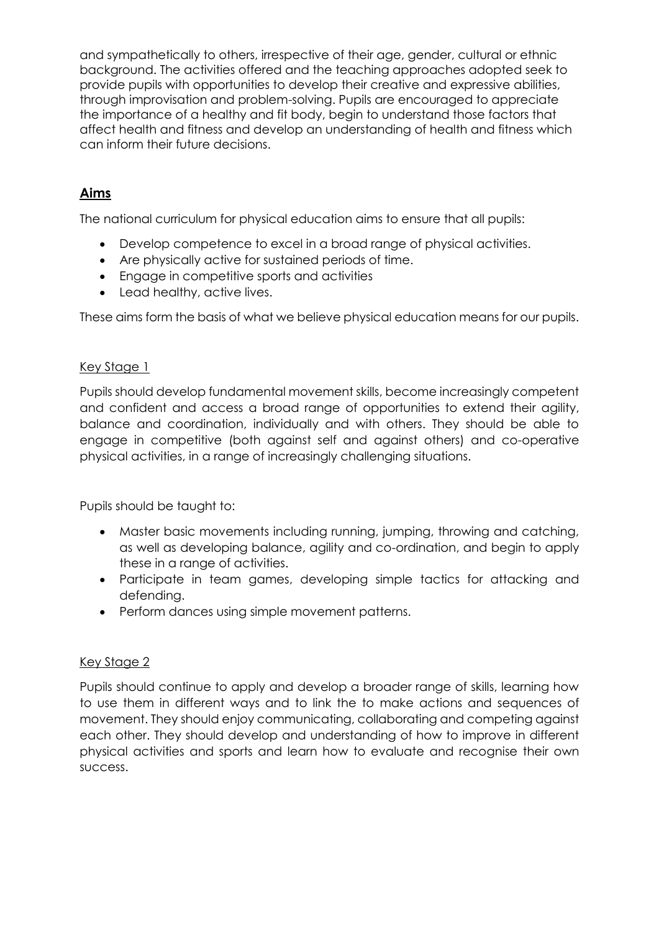and sympathetically to others, irrespective of their age, gender, cultural or ethnic background. The activities offered and the teaching approaches adopted seek to provide pupils with opportunities to develop their creative and expressive abilities, through improvisation and problem-solving. Pupils are encouraged to appreciate the importance of a healthy and fit body, begin to understand those factors that affect health and fitness and develop an understanding of health and fitness which can inform their future decisions.

# **Aims**

The national curriculum for physical education aims to ensure that all pupils:

- Develop competence to excel in a broad range of physical activities.
- Are physically active for sustained periods of time.
- Engage in competitive sports and activities
- Lead healthy, active lives.

These aims form the basis of what we believe physical education means for our pupils.

# Key Stage 1

Pupils should develop fundamental movement skills, become increasingly competent and confident and access a broad range of opportunities to extend their agility, balance and coordination, individually and with others. They should be able to engage in competitive (both against self and against others) and co-operative physical activities, in a range of increasingly challenging situations.

Pupils should be taught to:

- Master basic movements including running, jumping, throwing and catching, as well as developing balance, agility and co-ordination, and begin to apply these in a range of activities.
- Participate in team games, developing simple tactics for attacking and defending.
- Perform dances using simple movement patterns.

## Key Stage 2

Pupils should continue to apply and develop a broader range of skills, learning how to use them in different ways and to link the to make actions and sequences of movement. They should enjoy communicating, collaborating and competing against each other. They should develop and understanding of how to improve in different physical activities and sports and learn how to evaluate and recognise their own success.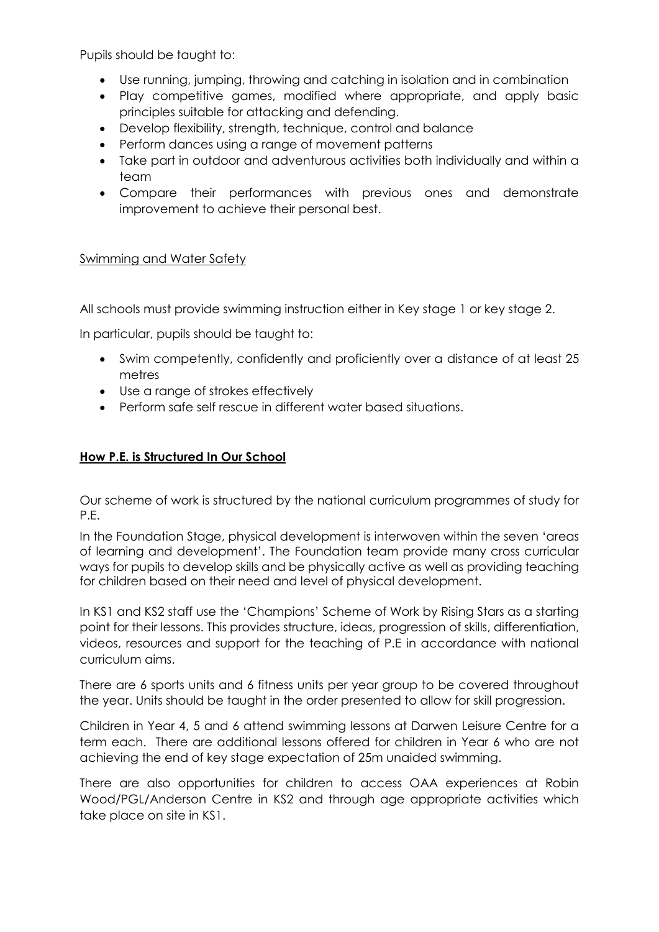Pupils should be taught to:

- Use running, jumping, throwing and catching in isolation and in combination
- Play competitive games, modified where appropriate, and apply basic principles suitable for attacking and defending.
- Develop flexibility, strength, technique, control and balance
- Perform dances using a range of movement patterns
- Take part in outdoor and adventurous activities both individually and within a team
- Compare their performances with previous ones and demonstrate improvement to achieve their personal best.

#### Swimming and Water Safety

All schools must provide swimming instruction either in Key stage 1 or key stage 2.

In particular, pupils should be taught to:

- Swim competently, confidently and proficiently over a distance of at least 25 metres
- Use a range of strokes effectively
- Perform safe self rescue in different water based situations.

#### **How P.E. is Structured In Our School**

Our scheme of work is structured by the national curriculum programmes of study for P.E.

In the Foundation Stage, physical development is interwoven within the seven 'areas of learning and development'. The Foundation team provide many cross curricular ways for pupils to develop skills and be physically active as well as providing teaching for children based on their need and level of physical development.

In KS1 and KS2 staff use the 'Champions' Scheme of Work by Rising Stars as a starting point for their lessons. This provides structure, ideas, progression of skills, differentiation, videos, resources and support for the teaching of P.E in accordance with national curriculum aims.

There are 6 sports units and 6 fitness units per year group to be covered throughout the year. Units should be taught in the order presented to allow for skill progression.

Children in Year 4, 5 and 6 attend swimming lessons at Darwen Leisure Centre for a term each. There are additional lessons offered for children in Year 6 who are not achieving the end of key stage expectation of 25m unaided swimming.

There are also opportunities for children to access OAA experiences at Robin Wood/PGL/Anderson Centre in KS2 and through age appropriate activities which take place on site in KS1.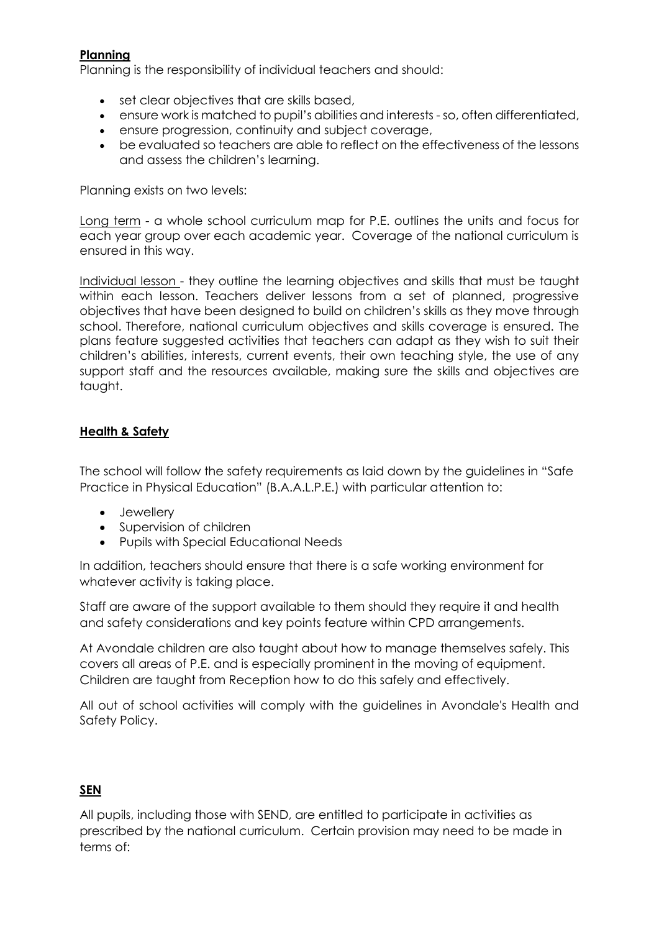# **Planning**

Planning is the responsibility of individual teachers and should:

- set clear objectives that are skills based,
- ensure work is matched to pupil's abilities and interests so, often differentiated,
- ensure progression, continuity and subject coverage,
- be evaluated so teachers are able to reflect on the effectiveness of the lessons and assess the children's learning.

Planning exists on two levels:

Long term - a whole school curriculum map for P.E. outlines the units and focus for each year group over each academic year. Coverage of the national curriculum is ensured in this way.

Individual lesson - they outline the learning objectives and skills that must be taught within each lesson. Teachers deliver lessons from a set of planned, progressive objectives that have been designed to build on children's skills as they move through school. Therefore, national curriculum objectives and skills coverage is ensured. The plans feature suggested activities that teachers can adapt as they wish to suit their children's abilities, interests, current events, their own teaching style, the use of any support staff and the resources available, making sure the skills and objectives are taught.

# **Health & Safety**

The school will follow the safety requirements as laid down by the guidelines in "Safe Practice in Physical Education" (B.A.A.L.P.E.) with particular attention to:

- Jewellery
- Supervision of children
- Pupils with Special Educational Needs

In addition, teachers should ensure that there is a safe working environment for whatever activity is taking place.

Staff are aware of the support available to them should they require it and health and safety considerations and key points feature within CPD arrangements.

At Avondale children are also taught about how to manage themselves safely. This covers all areas of P.E. and is especially prominent in the moving of equipment. Children are taught from Reception how to do this safely and effectively.

All out of school activities will comply with the guidelines in Avondale's Health and Safety Policy.

## **SEN**

All pupils, including those with SEND, are entitled to participate in activities as prescribed by the national curriculum. Certain provision may need to be made in terms of: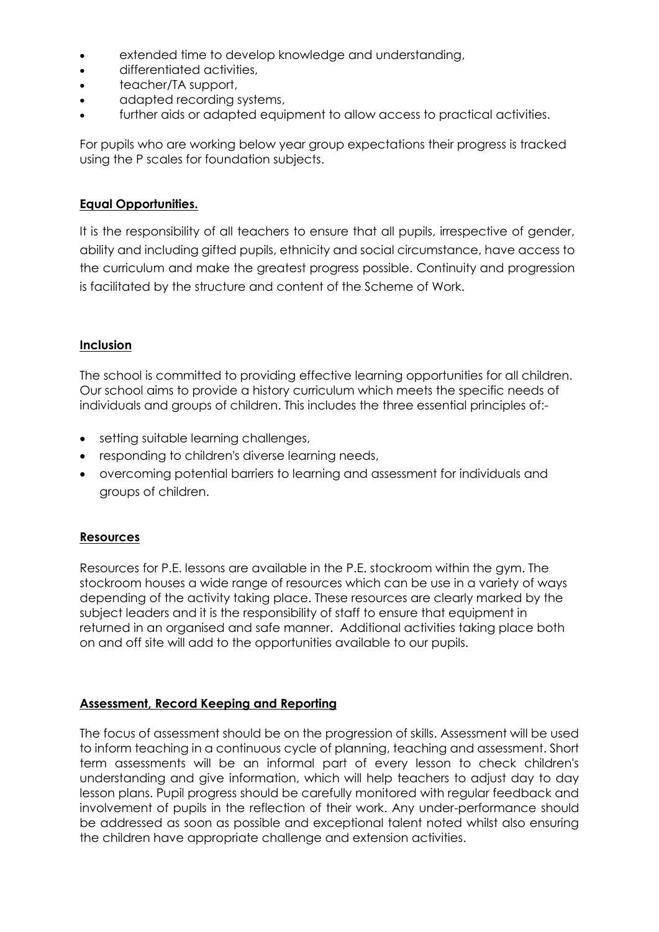- extended time to develop knowledge and understanding,
- differentiated activities,
- teacher/TA support,
- adapted recording systems,
- further aids or adapted equipment to allow access to practical activities.

For pupils who are working below year group expectations their progress is tracked using the P scales for foundation subjects.

## **Equal Opportunities.**

It is the responsibility of all teachers to ensure that all pupils, irrespective of gender, ability and including gifted pupils, ethnicity and social circumstance, have access to the curriculum and make the greatest progress possible. Continuity and progression is facilitated by the structure and content of the Scheme of Work.

# **Inclusion**

The school is committed to providing effective learning opportunities for all children. Our school aims to provide a history curriculum which meets the specific needs of individuals and groups of children. This includes the three essential principles of:-

- setting suitable learning challenges,
- responding to children's diverse learning needs,
- overcoming potential barriers to learning and assessment for individuals and groups of children.

## **Resources**

Resources for P.E. lessons are available in the P.E. stockroom within the gym. The stockroom houses a wide range of resources which can be use in a variety of ways depending of the activity taking place. These resources are clearly marked by the subject leaders and it is the responsibility of staff to ensure that equipment in returned in an organised and safe manner. Additional activities taking place both on and off site will add to the opportunities available to our pupils.

## **Assessment, Record Keeping and Reporting**

The focus of assessment should be on the progression of skills. Assessment will be used to inform teaching in a continuous cycle of planning, teaching and assessment. Short term assessments will be an informal part of every lesson to check children's understanding and give information, which will help teachers to adjust day to day lesson plans. Pupil progress should be carefully monitored with regular feedback and involvement of pupils in the reflection of their work. Any under-performance should be addressed as soon as possible and exceptional talent noted whilst also ensuring the children have appropriate challenge and extension activities.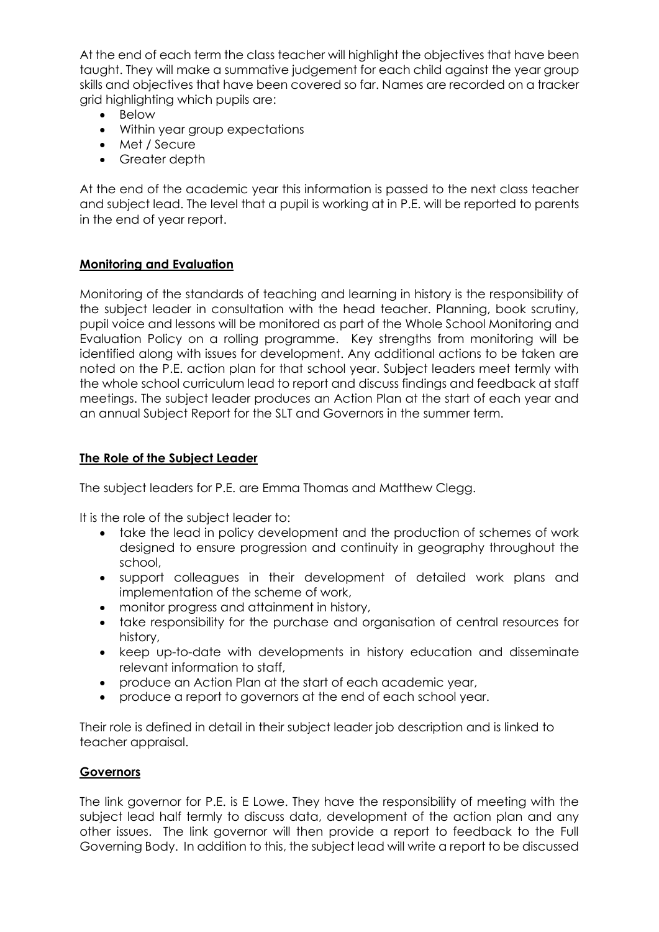At the end of each term the class teacher will highlight the objectives that have been taught. They will make a summative judgement for each child against the year group skills and objectives that have been covered so far. Names are recorded on a tracker grid highlighting which pupils are:

- Below
- Within year group expectations
- Met / Secure
- Greater depth

At the end of the academic year this information is passed to the next class teacher and subject lead. The level that a pupil is working at in P.E. will be reported to parents in the end of year report.

## **Monitoring and Evaluation**

Monitoring of the standards of teaching and learning in history is the responsibility of the subject leader in consultation with the head teacher. Planning, book scrutiny, pupil voice and lessons will be monitored as part of the Whole School Monitoring and Evaluation Policy on a rolling programme. Key strengths from monitoring will be identified along with issues for development. Any additional actions to be taken are noted on the P.E. action plan for that school year. Subject leaders meet termly with the whole school curriculum lead to report and discuss findings and feedback at staff meetings. The subject leader produces an Action Plan at the start of each year and an annual Subject Report for the SLT and Governors in the summer term.

#### **The Role of the Subject Leader**

The subject leaders for P.E. are Emma Thomas and Matthew Clegg.

It is the role of the subject leader to:

- take the lead in policy development and the production of schemes of work designed to ensure progression and continuity in geography throughout the school,
- support colleagues in their development of detailed work plans and implementation of the scheme of work,
- monitor progress and attainment in history,
- take responsibility for the purchase and organisation of central resources for history,
- keep up-to-date with developments in history education and disseminate relevant information to staff,
- produce an Action Plan at the start of each academic year,
- produce a report to governors at the end of each school year.

Their role is defined in detail in their subject leader job description and is linked to teacher appraisal.

#### **Governors**

The link governor for P.E. is E Lowe. They have the responsibility of meeting with the subject lead half termly to discuss data, development of the action plan and any other issues. The link governor will then provide a report to feedback to the Full Governing Body. In addition to this, the subject lead will write a report to be discussed